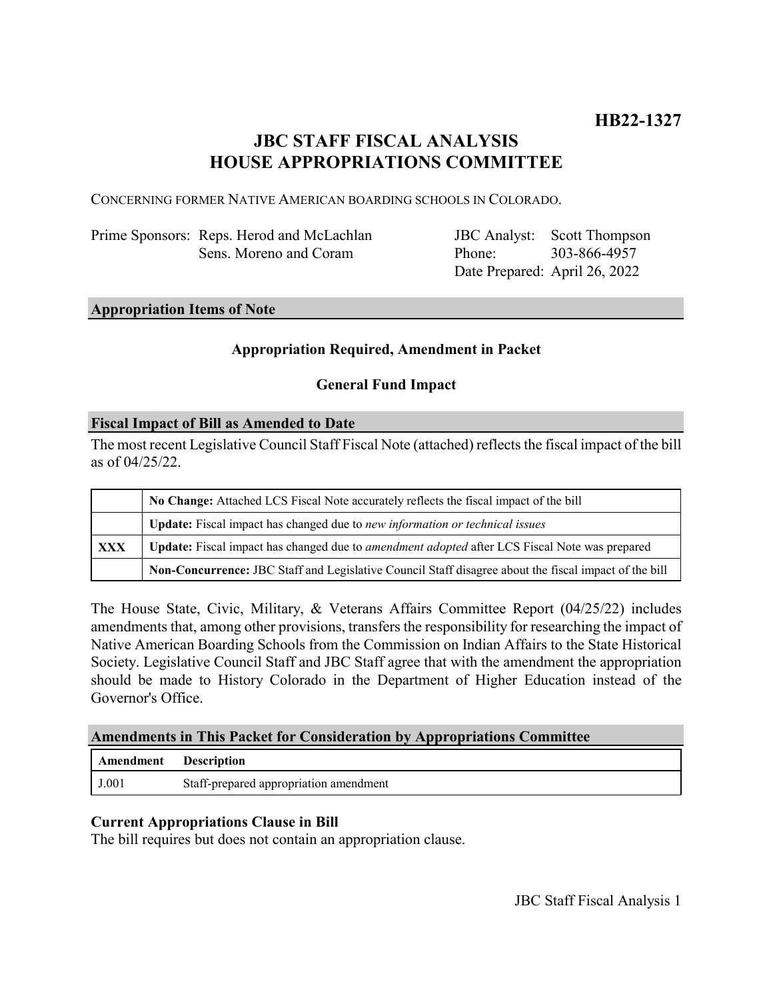# **JBC STAFF FISCAL ANALYSIS HOUSE APPROPRIATIONS COMMITTEE**

CONCERNING FORMER NATIVE AMERICAN BOARDING SCHOOLS IN COLORADO.

Prime Sponsors: Reps. Herod and McLachlan Sens. Moreno and Coram

JBC Analyst: Scott Thompson Phone: Date Prepared: April 26, 2022 303-866-4957

#### **Appropriation Items of Note**

## **Appropriation Required, Amendment in Packet**

#### **General Fund Impact**

#### **Fiscal Impact of Bill as Amended to Date**

The most recent Legislative Council Staff Fiscal Note (attached) reflects the fiscal impact of the bill as of 04/25/22.

|     | No Change: Attached LCS Fiscal Note accurately reflects the fiscal impact of the bill                       |
|-----|-------------------------------------------------------------------------------------------------------------|
|     | Update: Fiscal impact has changed due to new information or technical issues                                |
| XXX | <b>Update:</b> Fiscal impact has changed due to <i>amendment adopted</i> after LCS Fiscal Note was prepared |
|     | Non-Concurrence: JBC Staff and Legislative Council Staff disagree about the fiscal impact of the bill       |

The House State, Civic, Military, & Veterans Affairs Committee Report (04/25/22) includes amendments that, among other provisions, transfers the responsibility for researching the impact of Native American Boarding Schools from the Commission on Indian Affairs to the State Historical Society. Legislative Council Staff and JBC Staff agree that with the amendment the appropriation should be made to History Colorado in the Department of Higher Education instead of the Governor's Office.

### **Amendments in This Packet for Consideration by Appropriations Committee**

| Amendment | <b>Description</b>                     |
|-----------|----------------------------------------|
| J.001     | Staff-prepared appropriation amendment |

# **Current Appropriations Clause in Bill**

The bill requires but does not contain an appropriation clause.